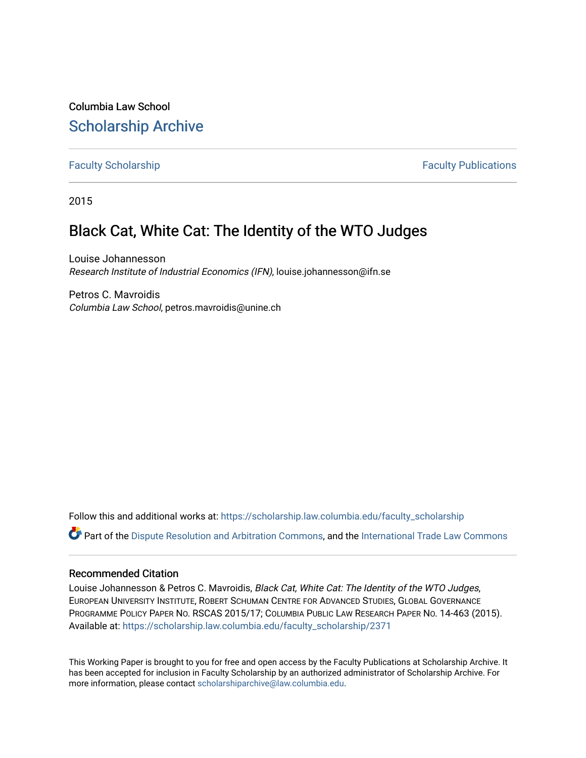Columbia Law School [Scholarship Archive](https://scholarship.law.columbia.edu/) 

[Faculty Scholarship](https://scholarship.law.columbia.edu/faculty_scholarship) **Faculty Scholarship Faculty Publications** 

2015

# Black Cat, White Cat: The Identity of the WTO Judges

Louise Johannesson Research Institute of Industrial Economics (IFN), louise.johannesson@ifn.se

Petros C. Mavroidis Columbia Law School, petros.mavroidis@unine.ch

Follow this and additional works at: [https://scholarship.law.columbia.edu/faculty\\_scholarship](https://scholarship.law.columbia.edu/faculty_scholarship?utm_source=scholarship.law.columbia.edu%2Ffaculty_scholarship%2F2371&utm_medium=PDF&utm_campaign=PDFCoverPages) Part of the [Dispute Resolution and Arbitration Commons,](http://network.bepress.com/hgg/discipline/890?utm_source=scholarship.law.columbia.edu%2Ffaculty_scholarship%2F2371&utm_medium=PDF&utm_campaign=PDFCoverPages) and the International Trade Law Commons

#### Recommended Citation

Louise Johannesson & Petros C. Mavroidis, Black Cat, White Cat: The Identity of the WTO Judges, EUROPEAN UNIVERSITY INSTITUTE, ROBERT SCHUMAN CENTRE FOR ADVANCED STUDIES, GLOBAL GOVERNANCE PROGRAMME POLICY PAPER NO. RSCAS 2015/17; COLUMBIA PUBLIC LAW RESEARCH PAPER NO. 14-463 (2015). Available at: [https://scholarship.law.columbia.edu/faculty\\_scholarship/2371](https://scholarship.law.columbia.edu/faculty_scholarship/2371?utm_source=scholarship.law.columbia.edu%2Ffaculty_scholarship%2F2371&utm_medium=PDF&utm_campaign=PDFCoverPages)

This Working Paper is brought to you for free and open access by the Faculty Publications at Scholarship Archive. It has been accepted for inclusion in Faculty Scholarship by an authorized administrator of Scholarship Archive. For more information, please contact [scholarshiparchive@law.columbia.edu.](mailto:scholarshiparchive@law.columbia.edu)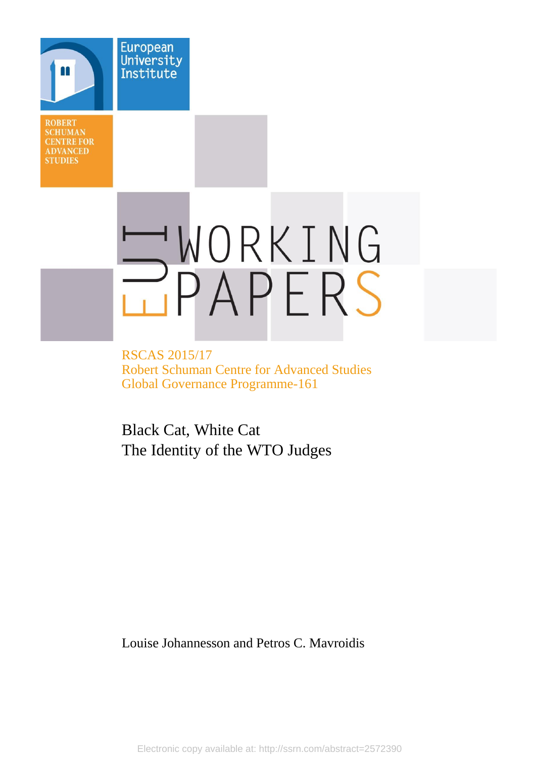**ROBERT SCHUMAN CENTRE FOR ADVANCED STUDIES** 

European University Institute

# WORKING EPAPERS

RSCAS 2015/17 Robert Schuman Centre for Advanced Studies Global Governance Programme-161

Black Cat, White Cat The Identity of the WTO Judges

Louise Johannesson and Petros C. Mavroidis

Electronic copy available at: http://ssrn.com/abstract=2572390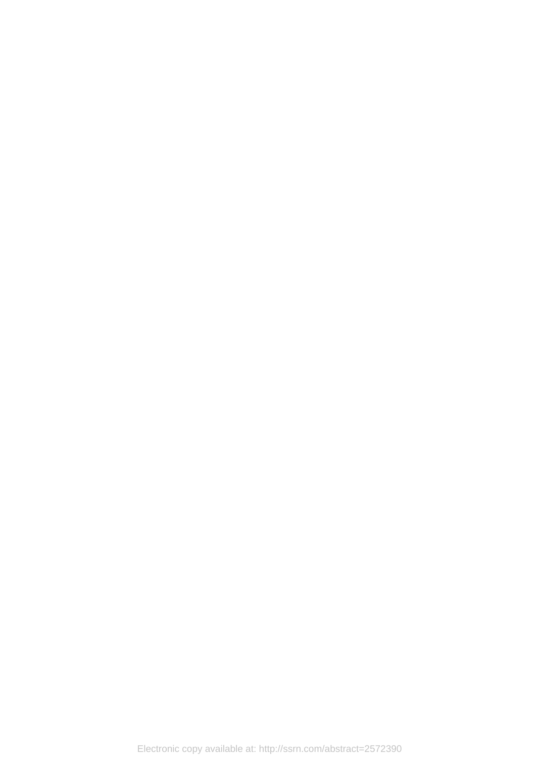Electronic copy available at: http://ssrn.com/abstract=2572390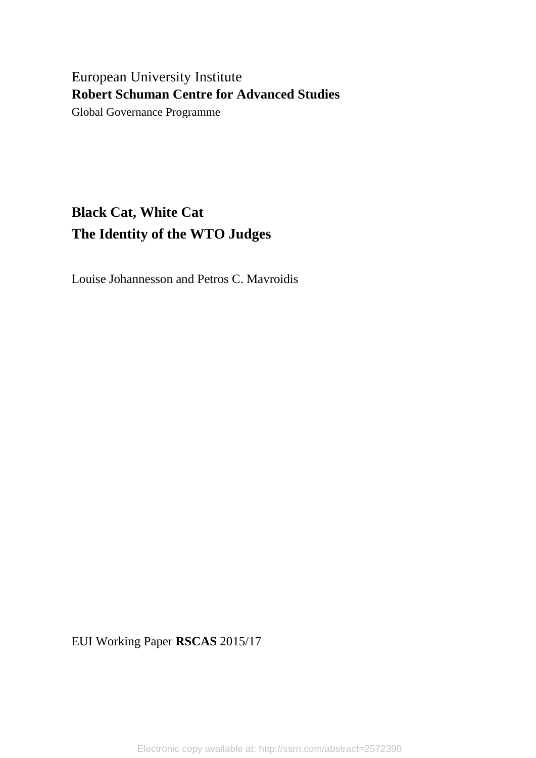# European University Institute **Robert Schuman Centre for Advanced Studies**

Global Governance Programme

# **Black Cat, White Cat The Identity of the WTO Judges**

Louise Johannesson and Petros C. Mavroidis

EUI Working Paper **RSCAS** 2015/17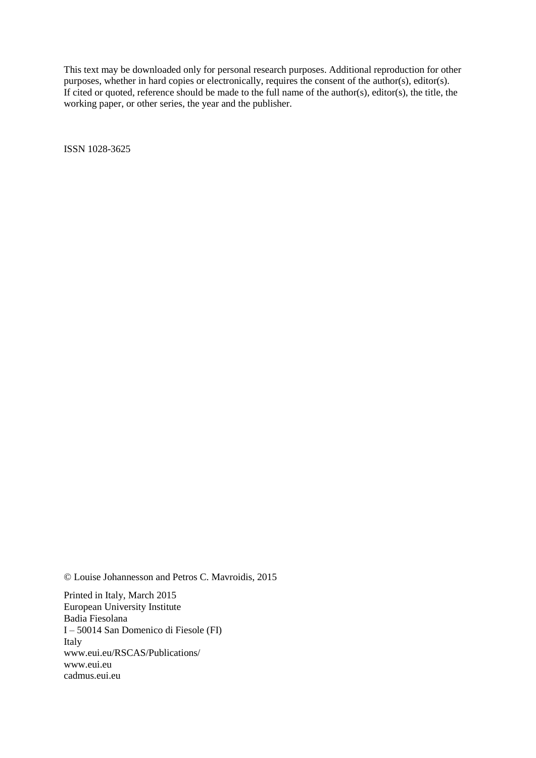This text may be downloaded only for personal research purposes. Additional reproduction for other purposes, whether in hard copies or electronically, requires the consent of the author(s), editor(s). If cited or quoted, reference should be made to the full name of the author(s), editor(s), the title, the working paper, or other series, the year and the publisher.

ISSN 1028-3625

© Louise Johannesson and Petros C. Mavroidis, 2015

Printed in Italy, March 2015 European University Institute Badia Fiesolana I – 50014 San Domenico di Fiesole (FI) Italy [www.eui.eu/RSCAS/Publications/](http://www.eui.eu/RSCAS/Publications/) [www.eui.eu](http://www.eui.eu/) [cadmus.eui.eu](http://cadmus.eui.eu/dspace/index.jsp)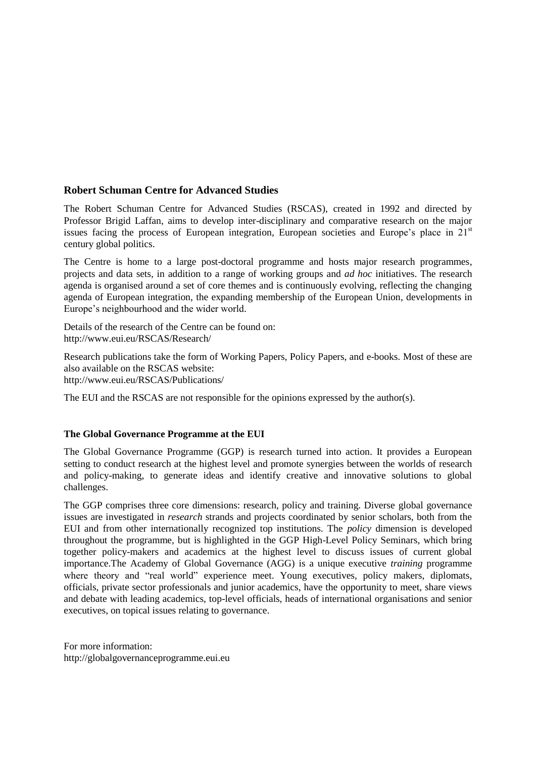# **Robert Schuman Centre for Advanced Studies**

The Robert Schuman Centre for Advanced Studies (RSCAS), created in 1992 and directed by Professor Brigid Laffan, aims to develop inter-disciplinary and comparative research on the major issues facing the process of European integration, European societies and Europe's place in 21<sup>st</sup> century global politics.

The Centre is home to a large post-doctoral programme and hosts major research programmes, projects and data sets, in addition to a range of working groups and *ad hoc* initiatives. The research agenda is organised around a set of core themes and is continuously evolving, reflecting the changing agenda of European integration, the expanding membership of the European Union, developments in Europe's neighbourhood and the wider world.

Details of the research of the Centre can be found on: <http://www.eui.eu/RSCAS/Research/>

Research publications take the form of Working Papers, Policy Papers, and e-books. Most of these are also available on the RSCAS website: <http://www.eui.eu/RSCAS/Publications/>

The EUI and the RSCAS are not responsible for the opinions expressed by the author(s).

## **The Global Governance Programme at the EUI**

The Global Governance Programme (GGP) is research turned into action. It provides a European setting to conduct research at the highest level and promote synergies between the worlds of research and policy-making, to generate ideas and identify creative and innovative solutions to global challenges.

The GGP comprises three core dimensions: research, policy and training. Diverse global governance issues are investigated in *research* strands and projects coordinated by senior scholars, both from the EUI and from other internationally recognized top institutions. The *policy* dimension is developed throughout the programme, but is highlighted in the GGP High-Level Policy Seminars, which bring together policy-makers and academics at the highest level to discuss issues of current global importance.The Academy of Global Governance (AGG) is a unique executive *training* programme where theory and "real world" experience meet. Young executives, policy makers, diplomats, officials, private sector professionals and junior academics, have the opportunity to meet, share views and debate with leading academics, top-level officials, heads of international organisations and senior executives, on topical issues relating to governance.

For more information: [http://globalgovernanceprogramme.eui.eu](http://globalgovernanceprogramme.eui.eu/)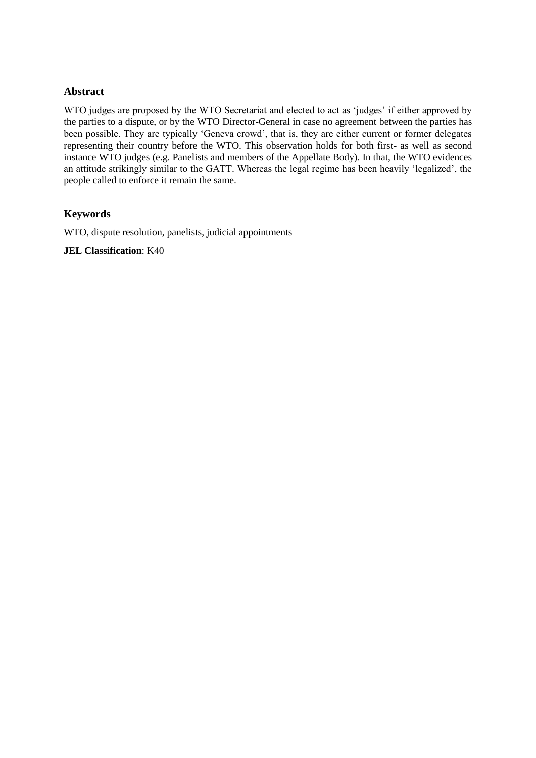# **Abstract**

WTO judges are proposed by the WTO Secretariat and elected to act as 'judges' if either approved by the parties to a dispute, or by the WTO Director-General in case no agreement between the parties has been possible. They are typically 'Geneva crowd', that is, they are either current or former delegates representing their country before the WTO. This observation holds for both first- as well as second instance WTO judges (e.g. Panelists and members of the Appellate Body). In that, the WTO evidences an attitude strikingly similar to the GATT. Whereas the legal regime has been heavily 'legalized', the people called to enforce it remain the same.

# **Keywords**

WTO, dispute resolution, panelists, judicial appointments

**JEL Classification**: K40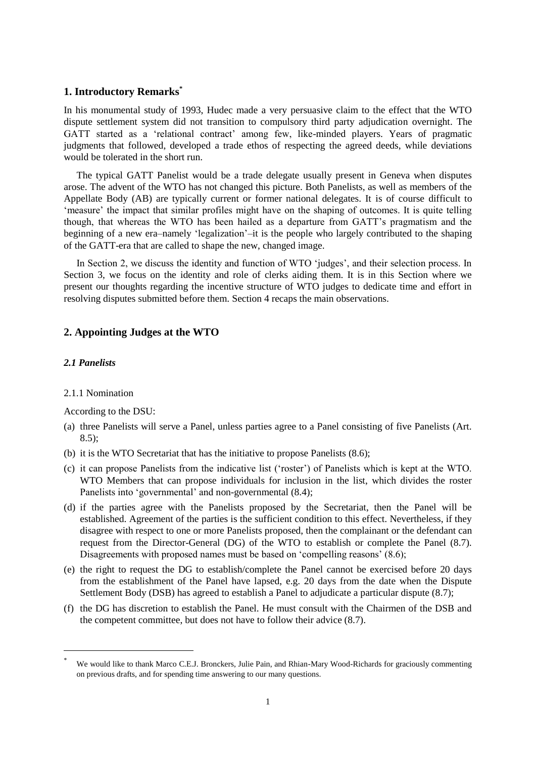#### **1. Introductory Remarks\***

In his monumental study of 1993, Hudec made a very persuasive claim to the effect that the WTO dispute settlement system did not transition to compulsory third party adjudication overnight. The GATT started as a 'relational contract' among few, like-minded players. Years of pragmatic judgments that followed, developed a trade ethos of respecting the agreed deeds, while deviations would be tolerated in the short run.

The typical GATT Panelist would be a trade delegate usually present in Geneva when disputes arose. The advent of the WTO has not changed this picture. Both Panelists, as well as members of the Appellate Body (AB) are typically current or former national delegates. It is of course difficult to 'measure' the impact that similar profiles might have on the shaping of outcomes. It is quite telling though, that whereas the WTO has been hailed as a departure from GATT's pragmatism and the beginning of a new era–namely 'legalization'–it is the people who largely contributed to the shaping of the GATT-era that are called to shape the new, changed image.

In Section 2, we discuss the identity and function of WTO 'judges', and their selection process. In Section 3, we focus on the identity and role of clerks aiding them. It is in this Section where we present our thoughts regarding the incentive structure of WTO judges to dedicate time and effort in resolving disputes submitted before them. Section 4 recaps the main observations.

# **2. Appointing Judges at the WTO**

#### *2.1 Panelists*

l

#### 2.1.1 Nomination

According to the DSU:

- (a) three Panelists will serve a Panel, unless parties agree to a Panel consisting of five Panelists (Art. 8.5);
- (b) it is the WTO Secretariat that has the initiative to propose Panelists (8.6);
- (c) it can propose Panelists from the indicative list ('roster') of Panelists which is kept at the WTO. WTO Members that can propose individuals for inclusion in the list, which divides the roster Panelists into 'governmental' and non-governmental (8.4);
- (d) if the parties agree with the Panelists proposed by the Secretariat, then the Panel will be established. Agreement of the parties is the sufficient condition to this effect. Nevertheless, if they disagree with respect to one or more Panelists proposed, then the complainant or the defendant can request from the Director-General (DG) of the WTO to establish or complete the Panel (8.7). Disagreements with proposed names must be based on 'compelling reasons' (8.6);
- (e) the right to request the DG to establish/complete the Panel cannot be exercised before 20 days from the establishment of the Panel have lapsed, e.g. 20 days from the date when the Dispute Settlement Body (DSB) has agreed to establish a Panel to adjudicate a particular dispute (8.7);
- (f) the DG has discretion to establish the Panel. He must consult with the Chairmen of the DSB and the competent committee, but does not have to follow their advice (8.7).

We would like to thank Marco C.E.J. Bronckers, Julie Pain, and Rhian-Mary Wood-Richards for graciously commenting on previous drafts, and for spending time answering to our many questions.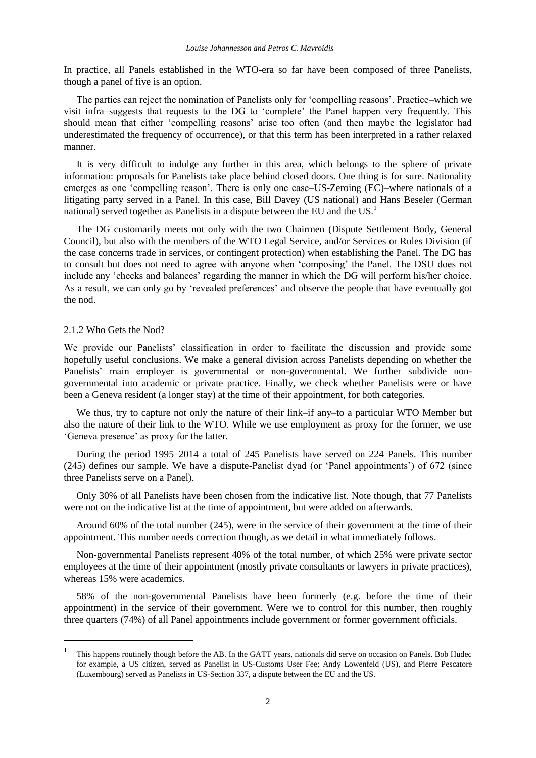In practice, all Panels established in the WTO-era so far have been composed of three Panelists, though a panel of five is an option.

The parties can reject the nomination of Panelists only for 'compelling reasons'. Practice–which we visit infra–suggests that requests to the DG to 'complete' the Panel happen very frequently. This should mean that either 'compelling reasons' arise too often (and then maybe the legislator had underestimated the frequency of occurrence), or that this term has been interpreted in a rather relaxed manner.

It is very difficult to indulge any further in this area, which belongs to the sphere of private information: proposals for Panelists take place behind closed doors. One thing is for sure. Nationality emerges as one 'compelling reason'. There is only one case–US-Zeroing (EC)–where nationals of a litigating party served in a Panel. In this case, Bill Davey (US national) and Hans Beseler (German national) served together as Panelists in a dispute between the EU and the US.<sup>1</sup>

The DG customarily meets not only with the two Chairmen (Dispute Settlement Body, General Council), but also with the members of the WTO Legal Service, and/or Services or Rules Division (if the case concerns trade in services, or contingent protection) when establishing the Panel. The DG has to consult but does not need to agree with anyone when 'composing' the Panel. The DSU does not include any 'checks and balances' regarding the manner in which the DG will perform his/her choice. As a result, we can only go by 'revealed preferences' and observe the people that have eventually got the nod.

#### 2.1.2 Who Gets the Nod?

l

We provide our Panelists' classification in order to facilitate the discussion and provide some hopefully useful conclusions. We make a general division across Panelists depending on whether the Panelists' main employer is governmental or non-governmental. We further subdivide nongovernmental into academic or private practice. Finally, we check whether Panelists were or have been a Geneva resident (a longer stay) at the time of their appointment, for both categories.

We thus, try to capture not only the nature of their link–if any–to a particular WTO Member but also the nature of their link to the WTO. While we use employment as proxy for the former, we use 'Geneva presence' as proxy for the latter.

During the period 1995–2014 a total of 245 Panelists have served on 224 Panels. This number (245) defines our sample. We have a dispute-Panelist dyad (or 'Panel appointments') of 672 (since three Panelists serve on a Panel).

Only 30% of all Panelists have been chosen from the indicative list. Note though, that 77 Panelists were not on the indicative list at the time of appointment, but were added on afterwards.

Around 60% of the total number (245), were in the service of their government at the time of their appointment. This number needs correction though, as we detail in what immediately follows.

Non-governmental Panelists represent 40% of the total number, of which 25% were private sector employees at the time of their appointment (mostly private consultants or lawyers in private practices), whereas 15% were academics.

58% of the non-governmental Panelists have been formerly (e.g. before the time of their appointment) in the service of their government. Were we to control for this number, then roughly three quarters (74%) of all Panel appointments include government or former government officials.

<sup>1</sup> This happens routinely though before the AB. In the GATT years, nationals did serve on occasion on Panels. Bob Hudec for example, a US citizen, served as Panelist in US-Customs User Fee; Andy Lowenfeld (US), and Pierre Pescatore (Luxembourg) served as Panelists in US-Section 337, a dispute between the EU and the US.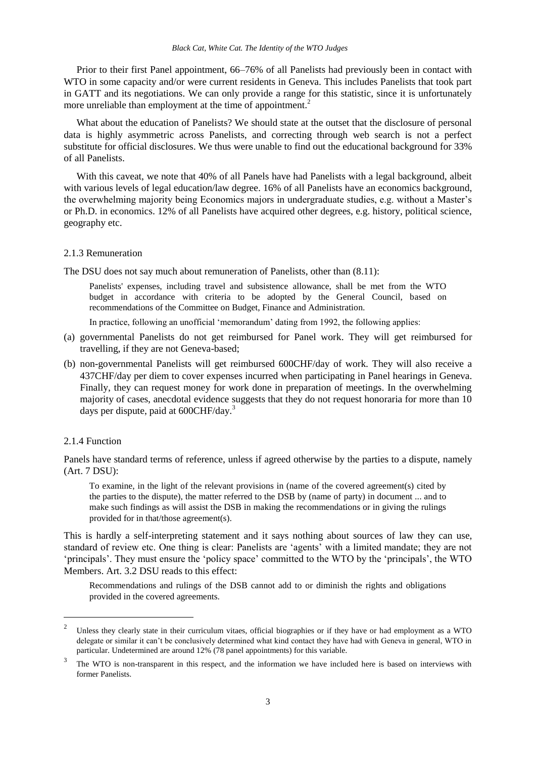Prior to their first Panel appointment, 66–76% of all Panelists had previously been in contact with WTO in some capacity and/or were current residents in Geneva. This includes Panelists that took part in GATT and its negotiations. We can only provide a range for this statistic, since it is unfortunately more unreliable than employment at the time of appointment.<sup>2</sup>

What about the education of Panelists? We should state at the outset that the disclosure of personal data is highly asymmetric across Panelists, and correcting through web search is not a perfect substitute for official disclosures. We thus were unable to find out the educational background for 33% of all Panelists.

With this caveat, we note that 40% of all Panels have had Panelists with a legal background, albeit with various levels of legal education/law degree. 16% of all Panelists have an economics background, the overwhelming majority being Economics majors in undergraduate studies, e.g. without a Master's or Ph.D. in economics. 12% of all Panelists have acquired other degrees, e.g. history, political science, geography etc.

#### 2.1.3 Remuneration

The DSU does not say much about remuneration of Panelists, other than (8.11):

Panelists' expenses, including travel and subsistence allowance, shall be met from the WTO budget in accordance with criteria to be adopted by the General Council, based on recommendations of the Committee on Budget, Finance and Administration.

In practice, following an unofficial 'memorandum' dating from 1992, the following applies:

- (a) governmental Panelists do not get reimbursed for Panel work. They will get reimbursed for travelling, if they are not Geneva-based;
- (b) non-governmental Panelists will get reimbursed 600CHF/day of work. They will also receive a 437CHF/day per diem to cover expenses incurred when participating in Panel hearings in Geneva. Finally, they can request money for work done in preparation of meetings. In the overwhelming majority of cases, anecdotal evidence suggests that they do not request honoraria for more than 10 days per dispute, paid at 600CHF/day.<sup>3</sup>

#### 2.1.4 Function

l

Panels have standard terms of reference, unless if agreed otherwise by the parties to a dispute, namely (Art. 7 DSU):

To examine, in the light of the relevant provisions in (name of the covered agreement(s) cited by the parties to the dispute), the matter referred to the DSB by (name of party) in document ... and to make such findings as will assist the DSB in making the recommendations or in giving the rulings provided for in that/those agreement(s).

This is hardly a self-interpreting statement and it says nothing about sources of law they can use, standard of review etc. One thing is clear: Panelists are 'agents' with a limited mandate; they are not 'principals'. They must ensure the 'policy space' committed to the WTO by the 'principals', the WTO Members. Art. 3.2 DSU reads to this effect:

Recommendations and rulings of the DSB cannot add to or diminish the rights and obligations provided in the covered agreements.

<sup>2</sup> Unless they clearly state in their curriculum vitaes, official biographies or if they have or had employment as a WTO delegate or similar it can't be conclusively determined what kind contact they have had with Geneva in general, WTO in particular. Undetermined are around 12% (78 panel appointments) for this variable.

<sup>3</sup> The WTO is non-transparent in this respect, and the information we have included here is based on interviews with former Panelists.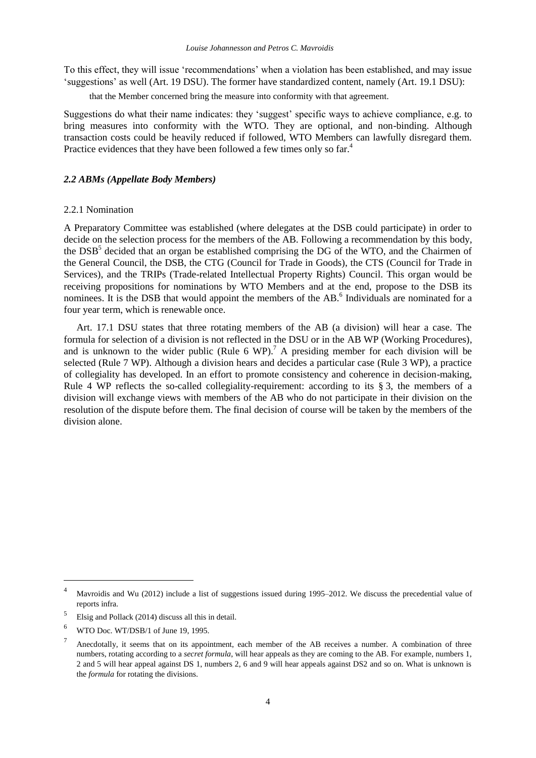To this effect, they will issue 'recommendations' when a violation has been established, and may issue 'suggestions' as well (Art. 19 DSU). The former have standardized content, namely (Art. 19.1 DSU):

that the Member concerned bring the measure into conformity with that agreement.

Suggestions do what their name indicates: they 'suggest' specific ways to achieve compliance, e.g. to bring measures into conformity with the WTO. They are optional, and non-binding. Although transaction costs could be heavily reduced if followed, WTO Members can lawfully disregard them. Practice evidences that they have been followed a few times only so far.<sup>4</sup>

#### *2.2 ABMs (Appellate Body Members)*

#### 2.2.1 Nomination

A Preparatory Committee was established (where delegates at the DSB could participate) in order to decide on the selection process for the members of the AB. Following a recommendation by this body, the  $DSB<sup>5</sup>$  decided that an organ be established comprising the DG of the WTO, and the Chairmen of the General Council, the DSB, the CTG (Council for Trade in Goods), the CTS (Council for Trade in Services), and the TRIPs (Trade-related Intellectual Property Rights) Council. This organ would be receiving propositions for nominations by WTO Members and at the end, propose to the DSB its nominees. It is the DSB that would appoint the members of the AB.<sup>6</sup> Individuals are nominated for a four year term, which is renewable once.

Art. 17.1 DSU states that three rotating members of the AB (a division) will hear a case. The formula for selection of a division is not reflected in the DSU or in the AB WP (Working Procedures), and is unknown to the wider public (Rule 6 WP).<sup>7</sup> A presiding member for each division will be selected (Rule 7 WP). Although a division hears and decides a particular case (Rule 3 WP), a practice of collegiality has developed. In an effort to promote consistency and coherence in decision-making, Rule 4 WP reflects the so-called collegiality-requirement: according to its § 3, the members of a division will exchange views with members of the AB who do not participate in their division on the resolution of the dispute before them. The final decision of course will be taken by the members of the division alone.

l

<sup>4</sup> Mavroidis and Wu (2012) include a list of suggestions issued during 1995–2012. We discuss the precedential value of reports infra.

<sup>5</sup> Elsig and Pollack (2014) discuss all this in detail.

<sup>6</sup> WTO Doc. WT/DSB/1 of June 19, 1995.

<sup>7</sup> Anecdotally, it seems that on its appointment, each member of the AB receives a number. A combination of three numbers, rotating according to a *secret formula*, will hear appeals as they are coming to the AB. For example, numbers 1, 2 and 5 will hear appeal against DS 1, numbers 2, 6 and 9 will hear appeals against DS2 and so on. What is unknown is the *formula* for rotating the divisions.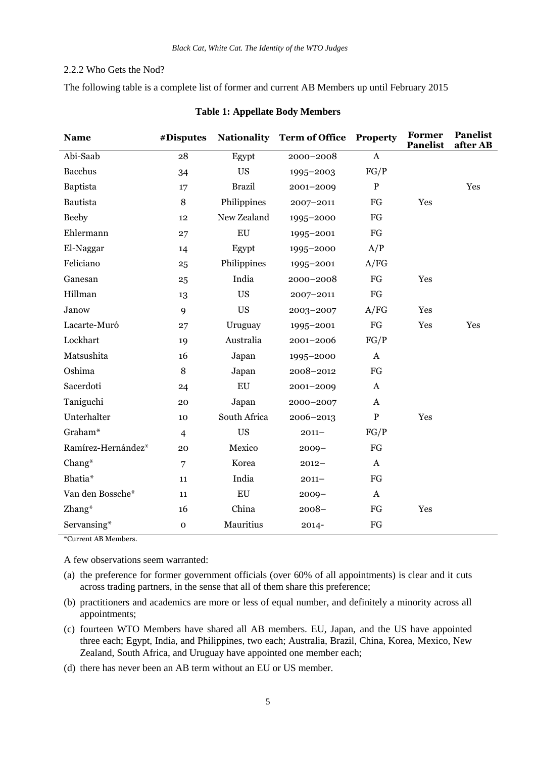## 2.2.2 Who Gets the Nod?

The following table is a complete list of former and current AB Members up until February 2015

| <b>Name</b>        | #Disputes      |               | Nationality Term of Office | <b>Property</b>             | <b>Former</b><br><b>Panelist</b> | <b>Panelist</b><br>after AB |
|--------------------|----------------|---------------|----------------------------|-----------------------------|----------------------------------|-----------------------------|
| Abi-Saab           | 28             | Egypt         | 2000-2008                  | $\mathbf{A}$                |                                  |                             |
| <b>Bacchus</b>     | 34             | <b>US</b>     | 1995-2003                  | FG/P                        |                                  |                             |
| Baptista           | 17             | <b>Brazil</b> | 2001-2009                  | $\mathbf{P}$                |                                  | Yes                         |
| Bautista           | 8              | Philippines   | 2007-2011                  | FG                          | Yes                              |                             |
| <b>Beeby</b>       | 12             | New Zealand   | 1995-2000                  | ${\rm FG}$                  |                                  |                             |
| Ehlermann          | 27             | EU            | 1995-2001                  | ${\rm FG}$                  |                                  |                             |
| El-Naggar          | 14             | Egypt         | 1995-2000                  | A/P                         |                                  |                             |
| Feliciano          | 25             | Philippines   | 1995-2001                  | A/FG                        |                                  |                             |
| Ganesan            | 25             | India         | 2000-2008                  | ${\rm FG}$                  | Yes                              |                             |
| Hillman            | 13             | <b>US</b>     | 2007-2011                  | ${\rm FG}$                  |                                  |                             |
| Janow              | 9              | <b>US</b>     | 2003-2007                  | A/FG                        | Yes                              |                             |
| Lacarte-Muró       | 27             | Uruguay       | 1995-2001                  | ${\mathcal F} {\mathcal G}$ | Yes                              | Yes                         |
| Lockhart           | 19             | Australia     | 2001-2006                  | FG/P                        |                                  |                             |
| Matsushita         | 16             | Japan         | 1995-2000                  | $\mathbf{A}$                |                                  |                             |
| Oshima             | 8              | Japan         | 2008-2012                  | FG                          |                                  |                             |
| Sacerdoti          | 24             | EU            | 2001-2009                  | A                           |                                  |                             |
| Taniguchi          | 20             | Japan         | 2000-2007                  | $\mathbf{A}$                |                                  |                             |
| Unterhalter        | 10             | South Africa  | 2006-2013                  | $\mathbf P$                 | Yes                              |                             |
| Graham*            | $\overline{4}$ | <b>US</b>     | $2011 -$                   | FG/P                        |                                  |                             |
| Ramírez-Hernández* | 20             | Mexico        | $2009 -$                   | ${\rm FG}$                  |                                  |                             |
| $Chang*$           | 7              | Korea         | $2012 -$                   | A                           |                                  |                             |
| Bhatia*            | 11             | India         | $2011 -$                   | FG                          |                                  |                             |
| Van den Bossche*   | 11             | ${\rm EU}$    | $2009 -$                   | $\mathbf{A}$                |                                  |                             |
| Zhang*             | 16             | China         | $2008 -$                   | FG                          | Yes                              |                             |
| Servansing*        | $\mathbf 0$    | Mauritius     | $2014 -$                   | ${\rm FG}$                  |                                  |                             |

#### **Table 1: Appellate Body Members**

\*Current AB Members.

A few observations seem warranted:

- (a) the preference for former government officials (over 60% of all appointments) is clear and it cuts across trading partners, in the sense that all of them share this preference;
- (b) practitioners and academics are more or less of equal number, and definitely a minority across all appointments;
- (c) fourteen WTO Members have shared all AB members. EU, Japan, and the US have appointed three each; Egypt, India, and Philippines, two each; Australia, Brazil, China, Korea, Mexico, New Zealand, South Africa, and Uruguay have appointed one member each;
- (d) there has never been an AB term without an EU or US member.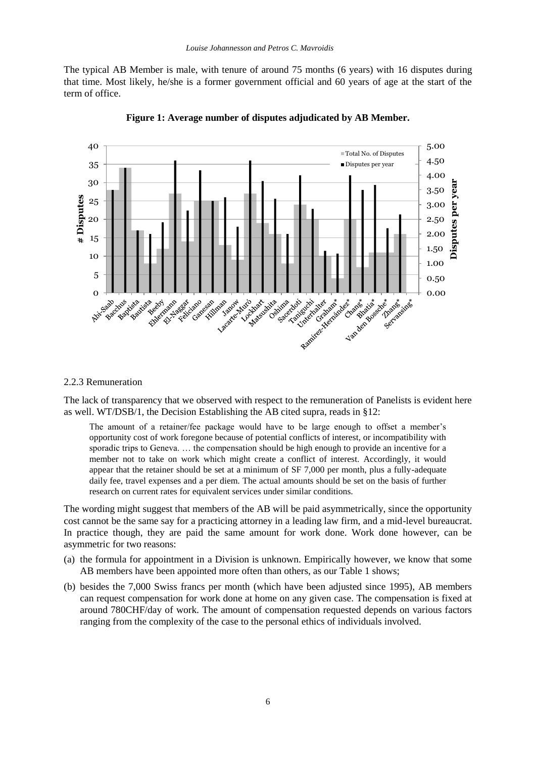The typical AB Member is male, with tenure of around 75 months (6 years) with 16 disputes during that time. Most likely, he/she is a former government official and 60 years of age at the start of the term of office.



**Figure 1: Average number of disputes adjudicated by AB Member.**

#### 2.2.3 Remuneration

The lack of transparency that we observed with respect to the remuneration of Panelists is evident here as well. WT/DSB/1, the Decision Establishing the AB cited supra, reads in §12:

The amount of a retainer/fee package would have to be large enough to offset a member's opportunity cost of work foregone because of potential conflicts of interest, or incompatibility with sporadic trips to Geneva. … the compensation should be high enough to provide an incentive for a member not to take on work which might create a conflict of interest. Accordingly, it would appear that the retainer should be set at a minimum of SF 7,000 per month, plus a fully-adequate daily fee, travel expenses and a per diem. The actual amounts should be set on the basis of further research on current rates for equivalent services under similar conditions.

The wording might suggest that members of the AB will be paid asymmetrically, since the opportunity cost cannot be the same say for a practicing attorney in a leading law firm, and a mid-level bureaucrat. In practice though, they are paid the same amount for work done. Work done however, can be asymmetric for two reasons:

- (a) the formula for appointment in a Division is unknown. Empirically however, we know that some AB members have been appointed more often than others, as our Table 1 shows;
- (b) besides the 7,000 Swiss francs per month (which have been adjusted since 1995), AB members can request compensation for work done at home on any given case. The compensation is fixed at around 780CHF/day of work. The amount of compensation requested depends on various factors ranging from the complexity of the case to the personal ethics of individuals involved.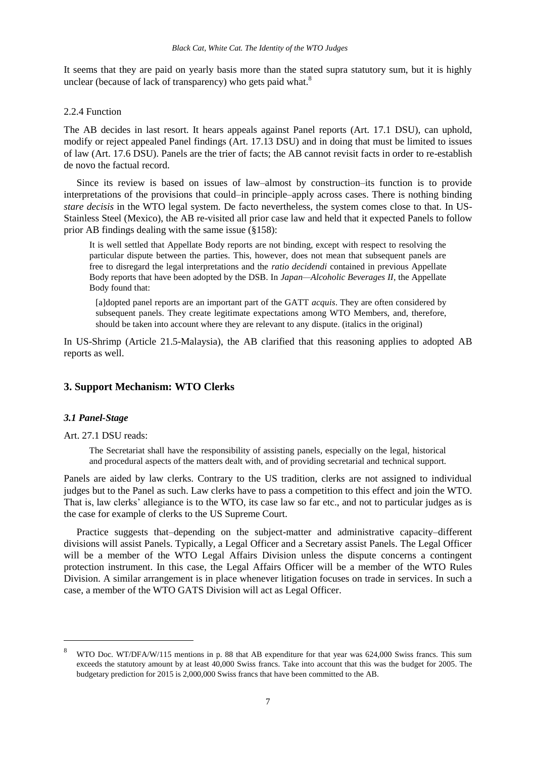It seems that they are paid on yearly basis more than the stated supra statutory sum, but it is highly unclear (because of lack of transparency) who gets paid what. $8$ 

#### 2.2.4 Function

The AB decides in last resort. It hears appeals against Panel reports (Art. 17.1 DSU), can uphold, modify or reject appealed Panel findings (Art. 17.13 DSU) and in doing that must be limited to issues of law (Art. 17.6 DSU). Panels are the trier of facts; the AB cannot revisit facts in order to re-establish de novo the factual record.

Since its review is based on issues of law–almost by construction–its function is to provide interpretations of the provisions that could–in principle–apply across cases. There is nothing binding *stare decisis* in the WTO legal system. De facto nevertheless, the system comes close to that. In US-Stainless Steel (Mexico), the AB re-visited all prior case law and held that it expected Panels to follow prior AB findings dealing with the same issue (§158):

It is well settled that Appellate Body reports are not binding, except with respect to resolving the particular dispute between the parties. This, however, does not mean that subsequent panels are free to disregard the legal interpretations and the *ratio decidendi* contained in previous Appellate Body reports that have been adopted by the DSB. In *Japan—Alcoholic Beverages II*, the Appellate Body found that:

[a]dopted panel reports are an important part of the GATT *acquis*. They are often considered by subsequent panels. They create legitimate expectations among WTO Members, and, therefore, should be taken into account where they are relevant to any dispute. (italics in the original)

In US-Shrimp (Article 21.5-Malaysia), the AB clarified that this reasoning applies to adopted AB reports as well.

#### **3. Support Mechanism: WTO Clerks**

#### *3.1 Panel-Stage*

l

#### Art. 27.1 DSU reads:

The Secretariat shall have the responsibility of assisting panels, especially on the legal, historical and procedural aspects of the matters dealt with, and of providing secretarial and technical support.

Panels are aided by law clerks. Contrary to the US tradition, clerks are not assigned to individual judges but to the Panel as such. Law clerks have to pass a competition to this effect and join the WTO. That is, law clerks' allegiance is to the WTO, its case law so far etc., and not to particular judges as is the case for example of clerks to the US Supreme Court.

Practice suggests that–depending on the subject-matter and administrative capacity–different divisions will assist Panels. Typically, a Legal Officer and a Secretary assist Panels. The Legal Officer will be a member of the WTO Legal Affairs Division unless the dispute concerns a contingent protection instrument. In this case, the Legal Affairs Officer will be a member of the WTO Rules Division. A similar arrangement is in place whenever litigation focuses on trade in services. In such a case, a member of the WTO GATS Division will act as Legal Officer.

<sup>8</sup> WTO Doc. WT/DFA/W/115 mentions in p. 88 that AB expenditure for that year was 624,000 Swiss francs. This sum exceeds the statutory amount by at least 40,000 Swiss francs. Take into account that this was the budget for 2005. The budgetary prediction for 2015 is 2,000,000 Swiss francs that have been committed to the AB.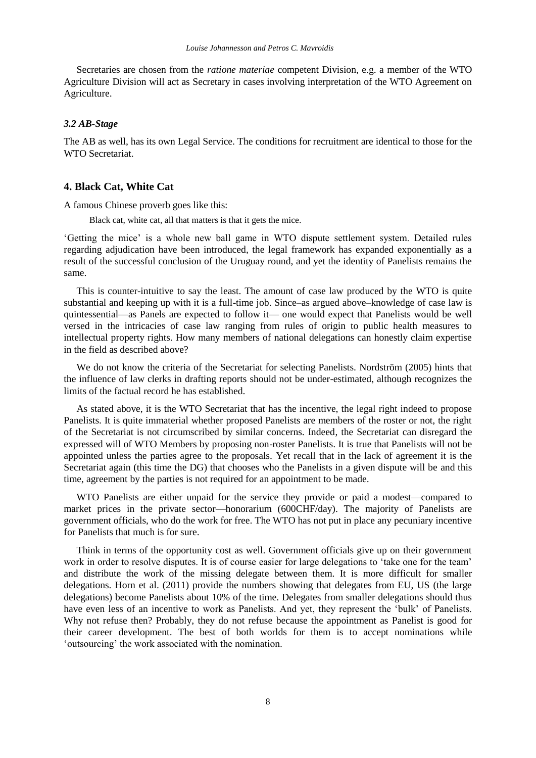Secretaries are chosen from the *ratione materiae* competent Division, e.g. a member of the WTO Agriculture Division will act as Secretary in cases involving interpretation of the WTO Agreement on Agriculture.

#### *3.2 AB-Stage*

The AB as well, has its own Legal Service. The conditions for recruitment are identical to those for the WTO Secretariat.

#### **4. Black Cat, White Cat**

A famous Chinese proverb goes like this:

Black cat, white cat, all that matters is that it gets the mice.

'Getting the mice' is a whole new ball game in WTO dispute settlement system. Detailed rules regarding adjudication have been introduced, the legal framework has expanded exponentially as a result of the successful conclusion of the Uruguay round, and yet the identity of Panelists remains the same.

This is counter-intuitive to say the least. The amount of case law produced by the WTO is quite substantial and keeping up with it is a full-time job. Since–as argued above–knowledge of case law is quintessential—as Panels are expected to follow it— one would expect that Panelists would be well versed in the intricacies of case law ranging from rules of origin to public health measures to intellectual property rights. How many members of national delegations can honestly claim expertise in the field as described above?

We do not know the criteria of the Secretariat for selecting Panelists. Nordström (2005) hints that the influence of law clerks in drafting reports should not be under-estimated, although recognizes the limits of the factual record he has established.

As stated above, it is the WTO Secretariat that has the incentive, the legal right indeed to propose Panelists. It is quite immaterial whether proposed Panelists are members of the roster or not, the right of the Secretariat is not circumscribed by similar concerns. Indeed, the Secretariat can disregard the expressed will of WTO Members by proposing non-roster Panelists. It is true that Panelists will not be appointed unless the parties agree to the proposals. Yet recall that in the lack of agreement it is the Secretariat again (this time the DG) that chooses who the Panelists in a given dispute will be and this time, agreement by the parties is not required for an appointment to be made.

WTO Panelists are either unpaid for the service they provide or paid a modest—compared to market prices in the private sector—honorarium (600CHF/day). The majority of Panelists are government officials, who do the work for free. The WTO has not put in place any pecuniary incentive for Panelists that much is for sure.

Think in terms of the opportunity cost as well. Government officials give up on their government work in order to resolve disputes. It is of course easier for large delegations to 'take one for the team' and distribute the work of the missing delegate between them. It is more difficult for smaller delegations. Horn et al. (2011) provide the numbers showing that delegates from EU, US (the large delegations) become Panelists about 10% of the time. Delegates from smaller delegations should thus have even less of an incentive to work as Panelists. And yet, they represent the 'bulk' of Panelists. Why not refuse then? Probably, they do not refuse because the appointment as Panelist is good for their career development. The best of both worlds for them is to accept nominations while 'outsourcing' the work associated with the nomination.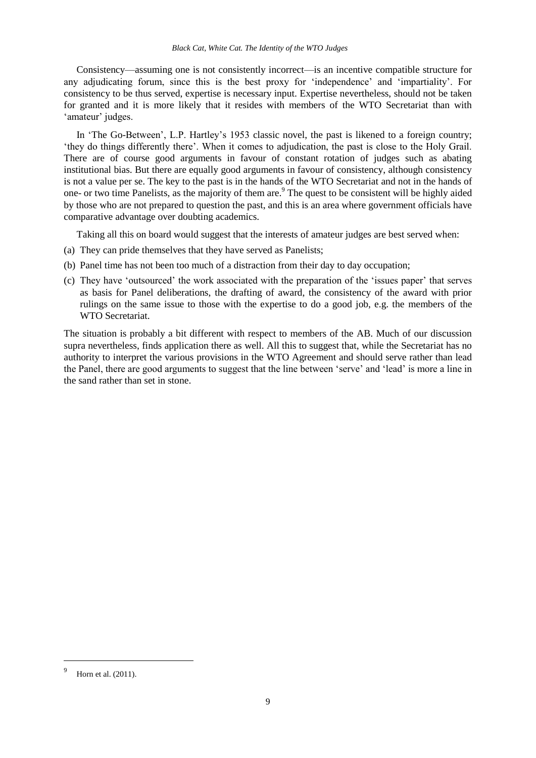Consistency—assuming one is not consistently incorrect—is an incentive compatible structure for any adjudicating forum, since this is the best proxy for 'independence' and 'impartiality'. For consistency to be thus served, expertise is necessary input. Expertise nevertheless, should not be taken for granted and it is more likely that it resides with members of the WTO Secretariat than with 'amateur' judges.

In 'The Go-Between', L.P. Hartley's 1953 classic novel, the past is likened to a foreign country; 'they do things differently there'. When it comes to adjudication, the past is close to the Holy Grail. There are of course good arguments in favour of constant rotation of judges such as abating institutional bias. But there are equally good arguments in favour of consistency, although consistency is not a value per se. The key to the past is in the hands of the WTO Secretariat and not in the hands of one- or two time Panelists, as the majority of them are.<sup>9</sup> The quest to be consistent will be highly aided by those who are not prepared to question the past, and this is an area where government officials have comparative advantage over doubting academics.

Taking all this on board would suggest that the interests of amateur judges are best served when:

- (a) They can pride themselves that they have served as Panelists;
- (b) Panel time has not been too much of a distraction from their day to day occupation;
- (c) They have 'outsourced' the work associated with the preparation of the 'issues paper' that serves as basis for Panel deliberations, the drafting of award, the consistency of the award with prior rulings on the same issue to those with the expertise to do a good job, e.g. the members of the WTO Secretariat.

The situation is probably a bit different with respect to members of the AB. Much of our discussion supra nevertheless, finds application there as well. All this to suggest that, while the Secretariat has no authority to interpret the various provisions in the WTO Agreement and should serve rather than lead the Panel, there are good arguments to suggest that the line between 'serve' and 'lead' is more a line in the sand rather than set in stone.

l

<sup>9</sup> Horn et al. (2011).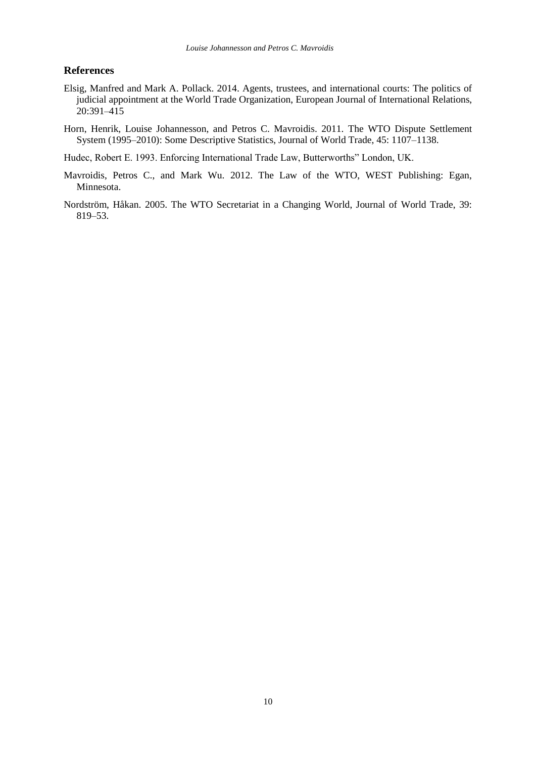## **References**

- Elsig, Manfred and Mark A. Pollack. 2014. Agents, trustees, and international courts: The politics of judicial appointment at the World Trade Organization, European Journal of International Relations, 20:391–415
- Horn, Henrik, Louise Johannesson, and Petros C. Mavroidis. 2011. The WTO Dispute Settlement System (1995–2010): Some Descriptive Statistics, Journal of World Trade, 45: 1107–1138.

Hudec, Robert E. 1993. Enforcing International Trade Law, Butterworths" London, UK.

- Mavroidis, Petros C., and Mark Wu. 2012. The Law of the WTO, WEST Publishing: Egan, Minnesota.
- Nordström, Håkan. 2005. The WTO Secretariat in a Changing World, Journal of World Trade, 39: 819–53.